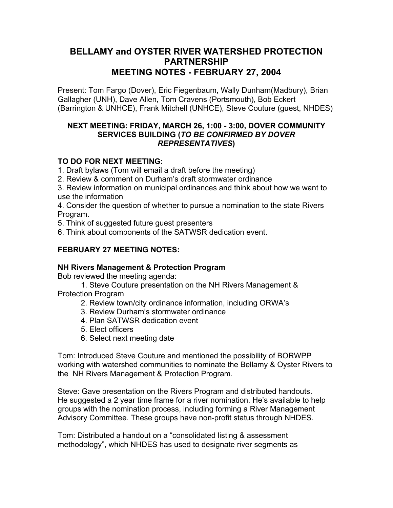# **BELLAMY and OYSTER RIVER WATERSHED PROTECTION PARTNERSHIP MEETING NOTES - FEBRUARY 27, 2004**

Present: Tom Fargo (Dover), Eric Fiegenbaum, Wally Dunham(Madbury), Brian Gallagher (UNH), Dave Allen, Tom Cravens (Portsmouth), Bob Eckert (Barrington & UNHCE), Frank Mitchell (UNHCE), Steve Couture (guest, NHDES)

#### **NEXT MEETING: FRIDAY, MARCH 26, 1:00 - 3:00, DOVER COMMUNITY SERVICES BUILDING (***TO BE CONFIRMED BY DOVER REPRESENTATIVES***)**

# **TO DO FOR NEXT MEETING:**

1. Draft bylaws (Tom will email a draft before the meeting)

2. Review & comment on Durham's draft stormwater ordinance

3. Review information on municipal ordinances and think about how we want to use the information

4. Consider the question of whether to pursue a nomination to the state Rivers Program.

5. Think of suggested future guest presenters

6. Think about components of the SATWSR dedication event.

# **FEBRUARY 27 MEETING NOTES:**

#### **NH Rivers Management & Protection Program**

Bob reviewed the meeting agenda:

 1. Steve Couture presentation on the NH Rivers Management & Protection Program

- 2. Review town/city ordinance information, including ORWA's
- 3. Review Durham's stormwater ordinance
- 4. Plan SATWSR dedication event
- 5. Elect officers
- 6. Select next meeting date

Tom: Introduced Steve Couture and mentioned the possibility of BORWPP working with watershed communities to nominate the Bellamy & Oyster Rivers to the NH Rivers Management & Protection Program.

Steve: Gave presentation on the Rivers Program and distributed handouts. He suggested a 2 year time frame for a river nomination. He's available to help groups with the nomination process, including forming a River Management Advisory Committee. These groups have non-profit status through NHDES.

Tom: Distributed a handout on a "consolidated listing & assessment methodology", which NHDES has used to designate river segments as